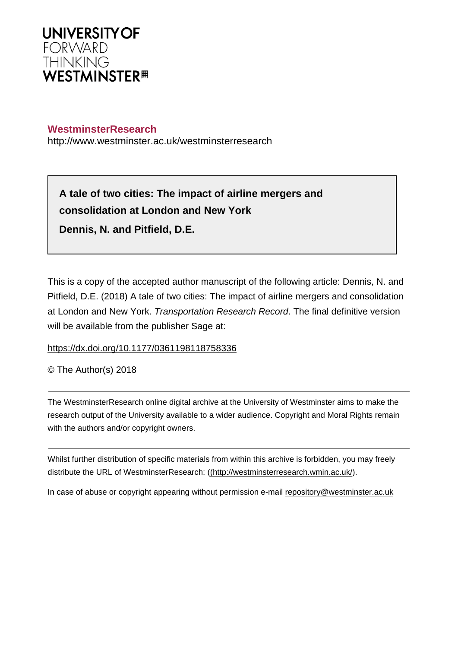

# **WestminsterResearch**

http://www.westminster.ac.uk/westminsterresearch

**A tale of two cities: The impact of airline mergers and consolidation at London and New York Dennis, N. and Pitfield, D.E.**

This is a copy of the accepted author manuscript of the following article: Dennis, N. and Pitfield, D.E. (2018) A tale of two cities: The impact of airline mergers and consolidation at London and New York. Transportation Research Record. The final definitive version will be available from the publisher Sage at:

<https://dx.doi.org/10.1177/0361198118758336>

© The Author(s) 2018

The WestminsterResearch online digital archive at the University of Westminster aims to make the research output of the University available to a wider audience. Copyright and Moral Rights remain with the authors and/or copyright owners.

Whilst further distribution of specific materials from within this archive is forbidden, you may freely distribute the URL of WestminsterResearch: [\(\(http://westminsterresearch.wmin.ac.uk/](http://westminsterresearch.wmin.ac.uk/)).

In case of abuse or copyright appearing without permission e-mail <repository@westminster.ac.uk>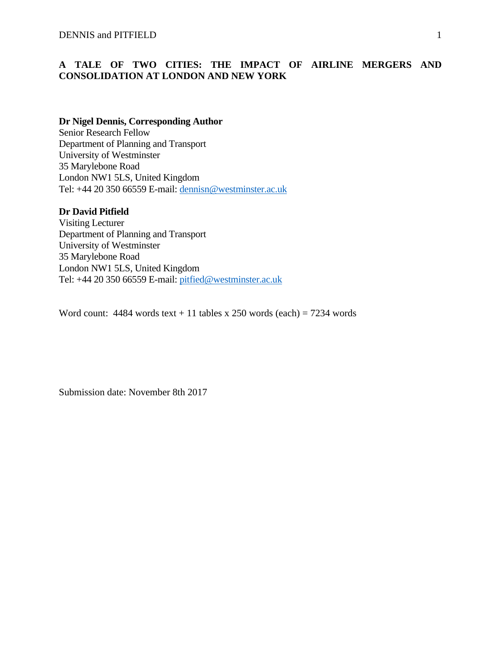# **A TALE OF TWO CITIES: THE IMPACT OF AIRLINE MERGERS AND CONSOLIDATION AT LONDON AND NEW YORK**

## **Dr Nigel Dennis, Corresponding Author**

Senior Research Fellow Department of Planning and Transport University of Westminster 35 Marylebone Road London NW1 5LS, United Kingdom Tel: +44 20 350 66559 E-mail: [dennisn@westminster.ac.uk](mailto:dennisn@westminster.ac.uk)

## **Dr David Pitfield**

Visiting Lecturer Department of Planning and Transport University of Westminster 35 Marylebone Road London NW1 5LS, United Kingdom Tel: +44 20 350 66559 E-mail: [pitfied@westminster.ac.uk](mailto:pitfied@westminster.ac.uk)

Word count:  $4484$  words text + 11 tables x 250 words (each) = 7234 words

Submission date: November 8th 2017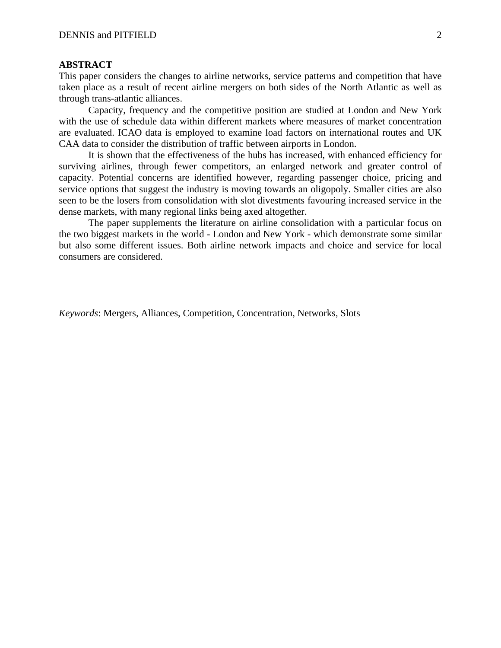#### **ABSTRACT**

This paper considers the changes to airline networks, service patterns and competition that have taken place as a result of recent airline mergers on both sides of the North Atlantic as well as through trans-atlantic alliances.

Capacity, frequency and the competitive position are studied at London and New York with the use of schedule data within different markets where measures of market concentration are evaluated. ICAO data is employed to examine load factors on international routes and UK CAA data to consider the distribution of traffic between airports in London.

 It is shown that the effectiveness of the hubs has increased, with enhanced efficiency for surviving airlines, through fewer competitors, an enlarged network and greater control of capacity. Potential concerns are identified however, regarding passenger choice, pricing and service options that suggest the industry is moving towards an oligopoly. Smaller cities are also seen to be the losers from consolidation with slot divestments favouring increased service in the dense markets, with many regional links being axed altogether.

The paper supplements the literature on airline consolidation with a particular focus on the two biggest markets in the world - London and New York - which demonstrate some similar but also some different issues. Both airline network impacts and choice and service for local consumers are considered.

*Keywords*: Mergers, Alliances, Competition, Concentration, Networks, Slots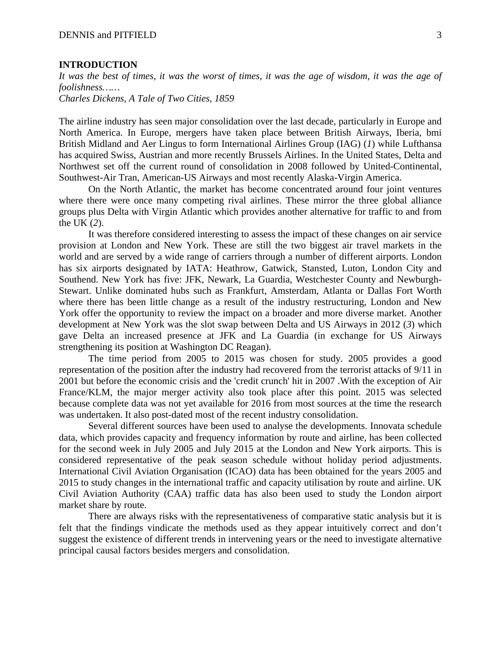#### **INTRODUCTION**

*It was the best of times, it was the worst of times, it was the age of wisdom, it was the age of foolishness……*

*Charles Dickens, A Tale of Two Cities, 1859* 

The airline industry has seen major consolidation over the last decade, particularly in Europe and North America. In Europe, mergers have taken place between British Airways, Iberia, bmi British Midland and Aer Lingus to form International Airlines Group (IAG) (*1*) while Lufthansa has acquired Swiss, Austrian and more recently Brussels Airlines. In the United States, Delta and Northwest set off the current round of consolidation in 2008 followed by United-Continental, Southwest-Air Tran, American-US Airways and most recently Alaska-Virgin America.

On the North Atlantic, the market has become concentrated around four joint ventures where there were once many competing rival airlines. These mirror the three global alliance groups plus Delta with Virgin Atlantic which provides another alternative for traffic to and from the UK (*2*).

It was therefore considered interesting to assess the impact of these changes on air service provision at London and New York. These are still the two biggest air travel markets in the world and are served by a wide range of carriers through a number of different airports. London has six airports designated by IATA: Heathrow, Gatwick, Stansted, Luton, London City and Southend. New York has five: JFK, Newark, La Guardia, Westchester County and Newburgh-Stewart. Unlike dominated hubs such as Frankfurt, Amsterdam, Atlanta or Dallas Fort Worth where there has been little change as a result of the industry restructuring, London and New York offer the opportunity to review the impact on a broader and more diverse market. Another development at New York was the slot swap between Delta and US Airways in 2012 (*3*) which gave Delta an increased presence at JFK and La Guardia (in exchange for US Airways strengthening its position at Washington DC Reagan).

The time period from 2005 to 2015 was chosen for study. 2005 provides a good representation of the position after the industry had recovered from the terrorist attacks of 9/11 in 2001 but before the economic crisis and the 'credit crunch' hit in 2007 .With the exception of Air France/KLM, the major merger activity also took place after this point. 2015 was selected because complete data was not yet available for 2016 from most sources at the time the research was undertaken. It also post-dated most of the recent industry consolidation.

Several different sources have been used to analyse the developments. Innovata schedule data, which provides capacity and frequency information by route and airline, has been collected for the second week in July 2005 and July 2015 at the London and New York airports. This is considered representative of the peak season schedule without holiday period adjustments. International Civil Aviation Organisation (ICAO) data has been obtained for the years 2005 and 2015 to study changes in the international traffic and capacity utilisation by route and airline. UK Civil Aviation Authority (CAA) traffic data has also been used to study the London airport market share by route.

There are always risks with the representativeness of comparative static analysis but it is felt that the findings vindicate the methods used as they appear intuitively correct and don't suggest the existence of different trends in intervening years or the need to investigate alternative principal causal factors besides mergers and consolidation.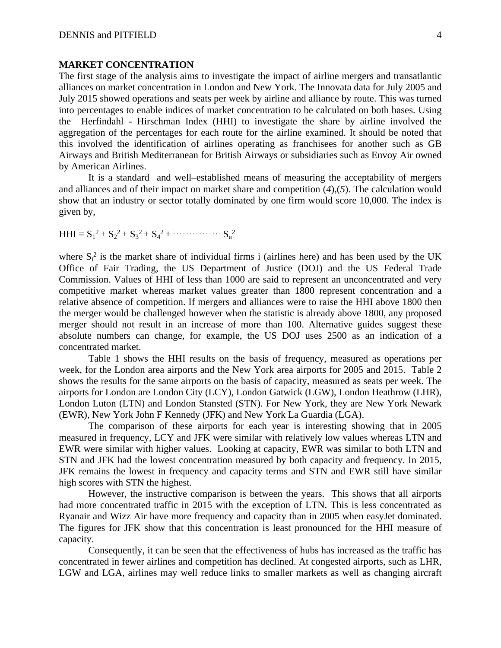#### **MARKET CONCENTRATION**

The first stage of the analysis aims to investigate the impact of airline mergers and transatlantic alliances on market concentration in London and New York. The Innovata data for July 2005 and July 2015 showed operations and seats per week by airline and alliance by route. This was turned into percentages to enable indices of market concentration to be calculated on both bases. Using the Herfindahl - Hirschman Index (HHI) to investigate the share by airline involved the aggregation of the percentages for each route for the airline examined. It should be noted that this involved the identification of airlines operating as franchisees for another such as GB Airways and British Mediterranean for British Airways or subsidiaries such as Envoy Air owned by American Airlines.

It is a standard and well–established means of measuring the acceptability of mergers and alliances and of their impact on market share and competition (*4*),(*5*). The calculation would show that an industry or sector totally dominated by one firm would score 10,000. The index is given by,

 $HHI = S_1^2 + S_2^2 + S_3^2 + S_4^2 + \cdots + S_n^2$ 

where  $S_i^2$  is the market share of individual firms i (airlines here) and has been used by the UK Office of Fair Trading, the US Department of Justice (DOJ) and the US Federal Trade Commission. Values of HHI of less than 1000 are said to represent an unconcentrated and very competitive market whereas market values greater than 1800 represent concentration and a relative absence of competition. If mergers and alliances were to raise the HHI above 1800 then the merger would be challenged however when the statistic is already above 1800, any proposed merger should not result in an increase of more than 100. Alternative guides suggest these absolute numbers can change, for example, the US DOJ uses 2500 as an indication of a concentrated market.

Table 1 shows the HHI results on the basis of frequency, measured as operations per week, for the London area airports and the New York area airports for 2005 and 2015. Table 2 shows the results for the same airports on the basis of capacity, measured as seats per week. The airports for London are London City (LCY), London Gatwick (LGW), London Heathrow (LHR), London Luton (LTN) and London Stansted (STN). For New York, they are New York Newark (EWR), New York John F Kennedy (JFK) and New York La Guardia (LGA).

The comparison of these airports for each year is interesting showing that in 2005 measured in frequency, LCY and JFK were similar with relatively low values whereas LTN and EWR were similar with higher values. Looking at capacity, EWR was similar to both LTN and STN and JFK had the lowest concentration measured by both capacity and frequency. In 2015, JFK remains the lowest in frequency and capacity terms and STN and EWR still have similar high scores with STN the highest.

However, the instructive comparison is between the years. This shows that all airports had more concentrated traffic in 2015 with the exception of LTN. This is less concentrated as Ryanair and Wizz Air have more frequency and capacity than in 2005 when easyJet dominated. The figures for JFK show that this concentration is least pronounced for the HHI measure of capacity.

Consequently, it can be seen that the effectiveness of hubs has increased as the traffic has concentrated in fewer airlines and competition has declined. At congested airports, such as LHR, LGW and LGA, airlines may well reduce links to smaller markets as well as changing aircraft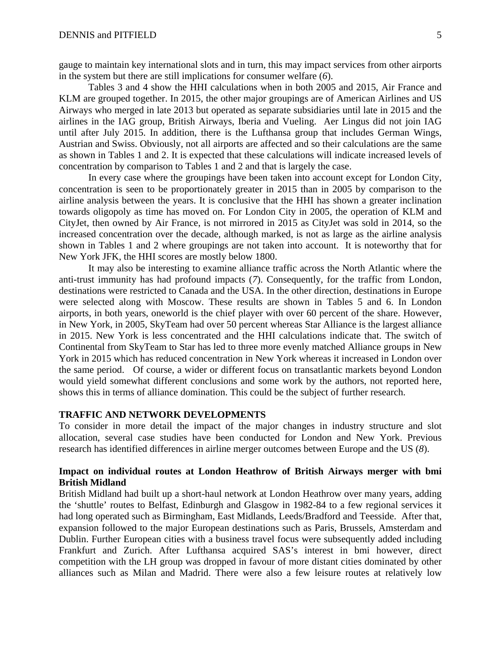gauge to maintain key international slots and in turn, this may impact services from other airports in the system but there are still implications for consumer welfare (*6*).

Tables 3 and 4 show the HHI calculations when in both 2005 and 2015, Air France and KLM are grouped together. In 2015, the other major groupings are of American Airlines and US Airways who merged in late 2013 but operated as separate subsidiaries until late in 2015 and the airlines in the IAG group, British Airways, Iberia and Vueling. Aer Lingus did not join IAG until after July 2015. In addition, there is the Lufthansa group that includes German Wings, Austrian and Swiss. Obviously, not all airports are affected and so their calculations are the same as shown in Tables 1 and 2. It is expected that these calculations will indicate increased levels of concentration by comparison to Tables 1 and 2 and that is largely the case.

In every case where the groupings have been taken into account except for London City, concentration is seen to be proportionately greater in 2015 than in 2005 by comparison to the airline analysis between the years. It is conclusive that the HHI has shown a greater inclination towards oligopoly as time has moved on. For London City in 2005, the operation of KLM and CityJet, then owned by Air France, is not mirrored in 2015 as CityJet was sold in 2014, so the increased concentration over the decade, although marked, is not as large as the airline analysis shown in Tables 1 and 2 where groupings are not taken into account. It is noteworthy that for New York JFK, the HHI scores are mostly below 1800.

It may also be interesting to examine alliance traffic across the North Atlantic where the anti-trust immunity has had profound impacts (*7*). Consequently, for the traffic from London, destinations were restricted to Canada and the USA. In the other direction, destinations in Europe were selected along with Moscow. These results are shown in Tables 5 and 6. In London airports, in both years, oneworld is the chief player with over 60 percent of the share. However, in New York, in 2005, SkyTeam had over 50 percent whereas Star Alliance is the largest alliance in 2015. New York is less concentrated and the HHI calculations indicate that. The switch of Continental from SkyTeam to Star has led to three more evenly matched Alliance groups in New York in 2015 which has reduced concentration in New York whereas it increased in London over the same period. Of course, a wider or different focus on transatlantic markets beyond London would yield somewhat different conclusions and some work by the authors, not reported here, shows this in terms of alliance domination. This could be the subject of further research.

## **TRAFFIC AND NETWORK DEVELOPMENTS**

To consider in more detail the impact of the major changes in industry structure and slot allocation, several case studies have been conducted for London and New York. Previous research has identified differences in airline merger outcomes between Europe and the US (*8*).

## **Impact on individual routes at London Heathrow of British Airways merger with bmi British Midland**

British Midland had built up a short-haul network at London Heathrow over many years, adding the 'shuttle' routes to Belfast, Edinburgh and Glasgow in 1982-84 to a few regional services it had long operated such as Birmingham, East Midlands, Leeds/Bradford and Teesside. After that, expansion followed to the major European destinations such as Paris, Brussels, Amsterdam and Dublin. Further European cities with a business travel focus were subsequently added including Frankfurt and Zurich. After Lufthansa acquired SAS's interest in bmi however, direct competition with the LH group was dropped in favour of more distant cities dominated by other alliances such as Milan and Madrid. There were also a few leisure routes at relatively low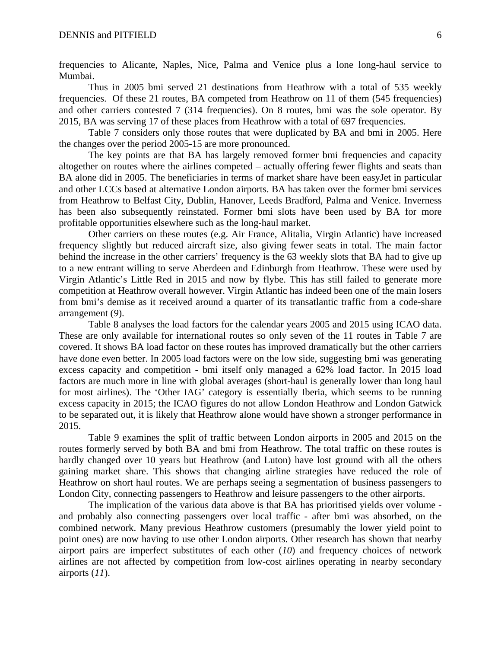Thus in 2005 bmi served 21 destinations from Heathrow with a total of 535 weekly frequencies. Of these 21 routes, BA competed from Heathrow on 11 of them (545 frequencies) and other carriers contested 7 (314 frequencies). On 8 routes, bmi was the sole operator. By 2015, BA was serving 17 of these places from Heathrow with a total of 697 frequencies.

Table 7 considers only those routes that were duplicated by BA and bmi in 2005. Here the changes over the period 2005-15 are more pronounced.

The key points are that BA has largely removed former bmi frequencies and capacity altogether on routes where the airlines competed – actually offering fewer flights and seats than BA alone did in 2005. The beneficiaries in terms of market share have been easyJet in particular and other LCCs based at alternative London airports. BA has taken over the former bmi services from Heathrow to Belfast City, Dublin, Hanover, Leeds Bradford, Palma and Venice. Inverness has been also subsequently reinstated. Former bmi slots have been used by BA for more profitable opportunities elsewhere such as the long-haul market.

Other carriers on these routes (e.g. Air France, Alitalia, Virgin Atlantic) have increased frequency slightly but reduced aircraft size, also giving fewer seats in total. The main factor behind the increase in the other carriers' frequency is the 63 weekly slots that BA had to give up to a new entrant willing to serve Aberdeen and Edinburgh from Heathrow. These were used by Virgin Atlantic's Little Red in 2015 and now by flybe. This has still failed to generate more competition at Heathrow overall however. Virgin Atlantic has indeed been one of the main losers from bmi's demise as it received around a quarter of its transatlantic traffic from a code-share arrangement (*9*).

Table 8 analyses the load factors for the calendar years 2005 and 2015 using ICAO data. These are only available for international routes so only seven of the 11 routes in Table 7 are covered. It shows BA load factor on these routes has improved dramatically but the other carriers have done even better. In 2005 load factors were on the low side, suggesting bmi was generating excess capacity and competition - bmi itself only managed a 62% load factor. In 2015 load factors are much more in line with global averages (short-haul is generally lower than long haul for most airlines). The 'Other IAG' category is essentially Iberia, which seems to be running excess capacity in 2015; the ICAO figures do not allow London Heathrow and London Gatwick to be separated out, it is likely that Heathrow alone would have shown a stronger performance in 2015.

Table 9 examines the split of traffic between London airports in 2005 and 2015 on the routes formerly served by both BA and bmi from Heathrow. The total traffic on these routes is hardly changed over 10 years but Heathrow (and Luton) have lost ground with all the others gaining market share. This shows that changing airline strategies have reduced the role of Heathrow on short haul routes. We are perhaps seeing a segmentation of business passengers to London City, connecting passengers to Heathrow and leisure passengers to the other airports.

The implication of the various data above is that BA has prioritised yields over volume and probably also connecting passengers over local traffic - after bmi was absorbed, on the combined network. Many previous Heathrow customers (presumably the lower yield point to point ones) are now having to use other London airports. Other research has shown that nearby airport pairs are imperfect substitutes of each other (*10*) and frequency choices of network airlines are not affected by competition from low-cost airlines operating in nearby secondary airports (*11*).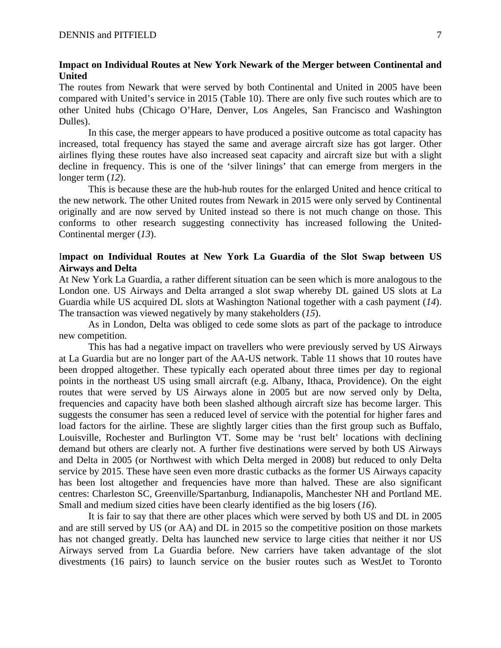## **Impact on Individual Routes at New York Newark of the Merger between Continental and United**

The routes from Newark that were served by both Continental and United in 2005 have been compared with United's service in 2015 (Table 10). There are only five such routes which are to other United hubs (Chicago O'Hare, Denver, Los Angeles, San Francisco and Washington Dulles).

In this case, the merger appears to have produced a positive outcome as total capacity has increased, total frequency has stayed the same and average aircraft size has got larger. Other airlines flying these routes have also increased seat capacity and aircraft size but with a slight decline in frequency. This is one of the 'silver linings' that can emerge from mergers in the longer term (*12*).

This is because these are the hub-hub routes for the enlarged United and hence critical to the new network. The other United routes from Newark in 2015 were only served by Continental originally and are now served by United instead so there is not much change on those. This conforms to other research suggesting connectivity has increased following the United-Continental merger (*13*).

# I**mpact on Individual Routes at New York La Guardia of the Slot Swap between US Airways and Delta**

At New York La Guardia, a rather different situation can be seen which is more analogous to the London one. US Airways and Delta arranged a slot swap whereby DL gained US slots at La Guardia while US acquired DL slots at Washington National together with a cash payment (*14*). The transaction was viewed negatively by many stakeholders (*15*).

As in London, Delta was obliged to cede some slots as part of the package to introduce new competition.

This has had a negative impact on travellers who were previously served by US Airways at La Guardia but are no longer part of the AA-US network. Table 11 shows that 10 routes have been dropped altogether. These typically each operated about three times per day to regional points in the northeast US using small aircraft (e.g. Albany, Ithaca, Providence). On the eight routes that were served by US Airways alone in 2005 but are now served only by Delta, frequencies and capacity have both been slashed although aircraft size has become larger. This suggests the consumer has seen a reduced level of service with the potential for higher fares and load factors for the airline. These are slightly larger cities than the first group such as Buffalo, Louisville, Rochester and Burlington VT. Some may be 'rust belt' locations with declining demand but others are clearly not. A further five destinations were served by both US Airways and Delta in 2005 (or Northwest with which Delta merged in 2008) but reduced to only Delta service by 2015. These have seen even more drastic cutbacks as the former US Airways capacity has been lost altogether and frequencies have more than halved. These are also significant centres: Charleston SC, Greenville/Spartanburg, Indianapolis, Manchester NH and Portland ME. Small and medium sized cities have been clearly identified as the big losers (*16*).

It is fair to say that there are other places which were served by both US and DL in 2005 and are still served by US (or AA) and DL in 2015 so the competitive position on those markets has not changed greatly. Delta has launched new service to large cities that neither it nor US Airways served from La Guardia before. New carriers have taken advantage of the slot divestments (16 pairs) to launch service on the busier routes such as WestJet to Toronto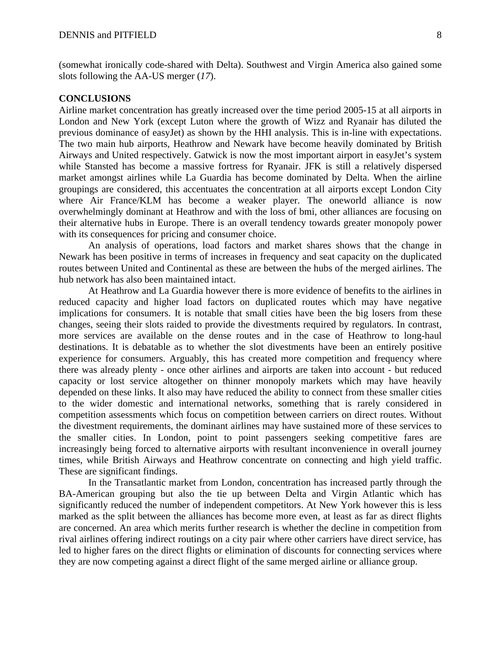(somewhat ironically code-shared with Delta). Southwest and Virgin America also gained some slots following the AA-US merger (*17*).

## **CONCLUSIONS**

Airline market concentration has greatly increased over the time period 2005-15 at all airports in London and New York (except Luton where the growth of Wizz and Ryanair has diluted the previous dominance of easyJet) as shown by the HHI analysis. This is in-line with expectations. The two main hub airports, Heathrow and Newark have become heavily dominated by British Airways and United respectively. Gatwick is now the most important airport in easyJet's system while Stansted has become a massive fortress for Ryanair. JFK is still a relatively dispersed market amongst airlines while La Guardia has become dominated by Delta. When the airline groupings are considered, this accentuates the concentration at all airports except London City where Air France/KLM has become a weaker player. The oneworld alliance is now overwhelmingly dominant at Heathrow and with the loss of bmi, other alliances are focusing on their alternative hubs in Europe. There is an overall tendency towards greater monopoly power with its consequences for pricing and consumer choice.

An analysis of operations, load factors and market shares shows that the change in Newark has been positive in terms of increases in frequency and seat capacity on the duplicated routes between United and Continental as these are between the hubs of the merged airlines. The hub network has also been maintained intact.

At Heathrow and La Guardia however there is more evidence of benefits to the airlines in reduced capacity and higher load factors on duplicated routes which may have negative implications for consumers. It is notable that small cities have been the big losers from these changes, seeing their slots raided to provide the divestments required by regulators. In contrast, more services are available on the dense routes and in the case of Heathrow to long-haul destinations. It is debatable as to whether the slot divestments have been an entirely positive experience for consumers. Arguably, this has created more competition and frequency where there was already plenty - once other airlines and airports are taken into account - but reduced capacity or lost service altogether on thinner monopoly markets which may have heavily depended on these links. It also may have reduced the ability to connect from these smaller cities to the wider domestic and international networks, something that is rarely considered in competition assessments which focus on competition between carriers on direct routes. Without the divestment requirements, the dominant airlines may have sustained more of these services to the smaller cities. In London, point to point passengers seeking competitive fares are increasingly being forced to alternative airports with resultant inconvenience in overall journey times, while British Airways and Heathrow concentrate on connecting and high yield traffic. These are significant findings.

In the Transatlantic market from London, concentration has increased partly through the BA-American grouping but also the tie up between Delta and Virgin Atlantic which has significantly reduced the number of independent competitors. At New York however this is less marked as the split between the alliances has become more even, at least as far as direct flights are concerned. An area which merits further research is whether the decline in competition from rival airlines offering indirect routings on a city pair where other carriers have direct service, has led to higher fares on the direct flights or elimination of discounts for connecting services where they are now competing against a direct flight of the same merged airline or alliance group.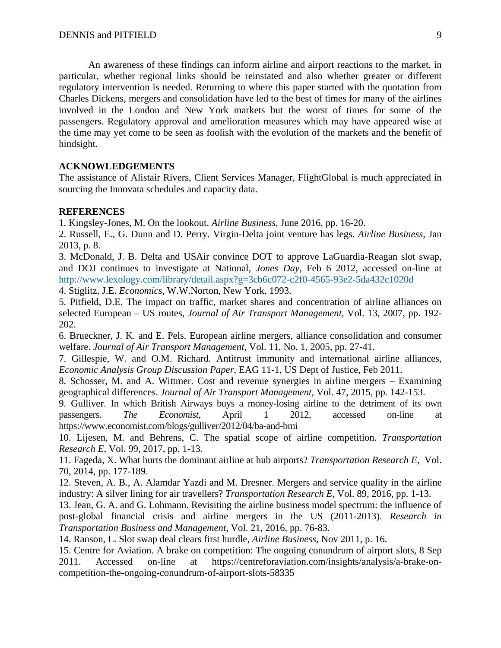An awareness of these findings can inform airline and airport reactions to the market, in particular, whether regional links should be reinstated and also whether greater or different regulatory intervention is needed. Returning to where this paper started with the quotation from Charles Dickens, mergers and consolidation have led to the best of times for many of the airlines involved in the London and New York markets but the worst of times for some of the passengers. Regulatory approval and amelioration measures which may have appeared wise at the time may yet come to be seen as foolish with the evolution of the markets and the benefit of hindsight.

## **ACKNOWLEDGEMENTS**

The assistance of Alistair Rivers, Client Services Manager, FlightGlobal is much appreciated in sourcing the Innovata schedules and capacity data.

## **REFERENCES**

1. Kingsley-Jones, M. On the lookout. *Airline Business*, June 2016, pp. 16-20.

2. Russell, E., G. Dunn and D. Perry. Virgin-Delta joint venture has legs. *Airline Business*, Jan 2013, p. 8.

3. McDonald, J. B. Delta and USAir convince DOT to approve LaGuardia-Reagan slot swap, and DOJ continues to investigate at National, *Jones Day*, Feb 6 2012, accessed on-line at <http://www.lexology.com/library/detail.aspx?g=3cb6c072-c2f0-4565-93e2-5da432c1020d>

4. Stiglitz, J.E. *Economics*, W.W.Norton, New York, 1993.

5. Pitfield, D.E. The impact on traffic, market shares and concentration of airline alliances on selected European – US routes, *Journal of Air Transport Management*, Vol. 13, 2007, pp. 192- 202.

6. Brueckner, J. K. and E. Pels. European airline mergers, alliance consolidation and consumer welfare. *Journal of Air Transport Management*, Vol. 11, No. 1, 2005, pp. 27-41.

7. Gillespie, W. and O.M. Richard. Antitrust immunity and international airline alliances, *Economic Analysis Group Discussion Paper*, EAG 11-1, US Dept of Justice, Feb 2011.

8. Schosser, M. and A. Wittmer. Cost and revenue synergies in airline mergers – Examining geographical differences. *Journal of Air Transport Management*, Vol. 47, 2015, pp. 142-153.

9. Gulliver. In which British Airways buys a money-losing airline to the detriment of its own passengers. *The Economist*, April 1 2012, accessed on-line at https://www.economist.com/blogs/gulliver/2012/04/ba-and-bmi

10. Lijesen, M. and Behrens, C. The spatial scope of airline competition. *Transportation Research E*, Vol. 99, 2017, pp. 1-13.

11. Fageda, X. What hurts the dominant airline at hub airports? *Transportation Research E*, Vol. 70, 2014, pp. 177-189.

12. Steven, A. B., A. Alamdar Yazdi and M. Dresner. Mergers and service quality in the airline industry: A silver lining for air travellers? *Transportation Research E*, Vol. 89, 2016, pp. 1-13.

13. Jean, G. A. and G. Lohmann. Revisiting the airline business model spectrum: the influence of post-global financial crisis and airline mergers in the US (2011-2013). *Research in Transportation Business and Management*, Vol. 21, 2016, pp. 76-83.

14. Ranson, L. Slot swap deal clears first hurdle, *Airline Business*, Nov 2011, p. 16.

15. Centre for Aviation. A brake on competition: The ongoing conundrum of airport slots, 8 Sep 2011. Accessed on-line at https://centreforaviation.com/insights/analysis/a-brake-oncompetition-the-ongoing-conundrum-of-airport-slots-58335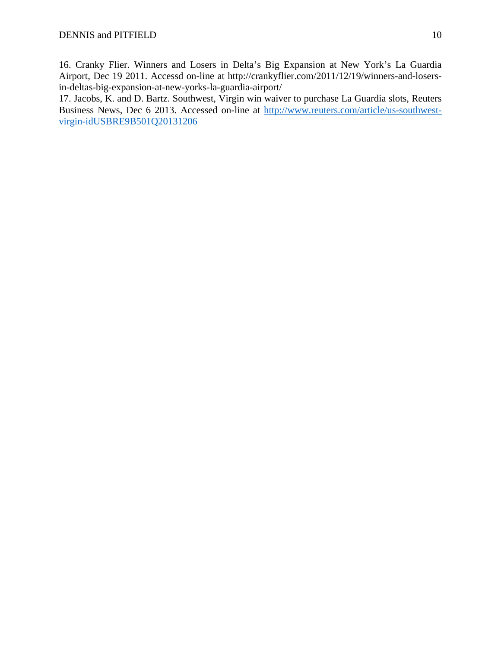16. Cranky Flier. Winners and Losers in Delta's Big Expansion at New York's La Guardia Airport, Dec 19 2011. Accessd on-line at http://crankyflier.com/2011/12/19/winners-and-losersin-deltas-big-expansion-at-new-yorks-la-guardia-airport/

17. Jacobs, K. and D. Bartz. Southwest, Virgin win waiver to purchase La Guardia slots, Reuters Business News, Dec 6 2013. Accessed on-line at [http://www.reuters.com/article/us-southwest](http://www.reuters.com/article/us-southwest-virgin-idUSBRE9B501Q20131206)[virgin-idUSBRE9B501Q20131206](http://www.reuters.com/article/us-southwest-virgin-idUSBRE9B501Q20131206)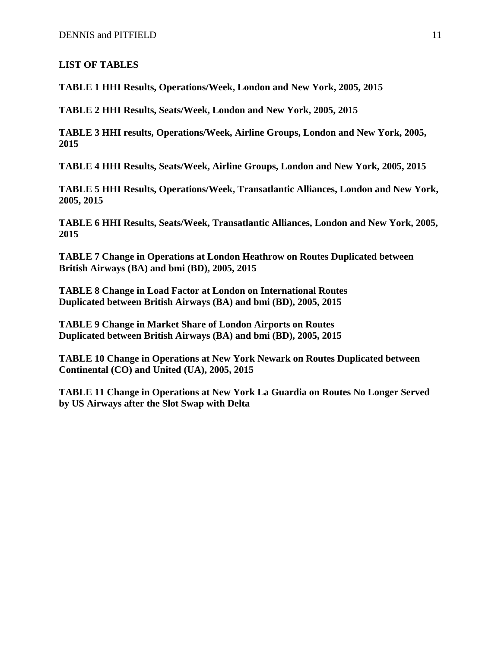## **LIST OF TABLES**

**TABLE 1 HHI Results, Operations/Week, London and New York, 2005, 2015**

**TABLE 2 HHI Results, Seats/Week, London and New York, 2005, 2015**

**TABLE 3 HHI results, Operations/Week, Airline Groups, London and New York, 2005, 2015**

**TABLE 4 HHI Results, Seats/Week, Airline Groups, London and New York, 2005, 2015**

**TABLE 5 HHI Results, Operations/Week, Transatlantic Alliances, London and New York, 2005, 2015**

**TABLE 6 HHI Results, Seats/Week, Transatlantic Alliances, London and New York, 2005, 2015**

**TABLE 7 Change in Operations at London Heathrow on Routes Duplicated between British Airways (BA) and bmi (BD), 2005, 2015**

**TABLE 8 Change in Load Factor at London on International Routes Duplicated between British Airways (BA) and bmi (BD), 2005, 2015**

**TABLE 9 Change in Market Share of London Airports on Routes Duplicated between British Airways (BA) and bmi (BD), 2005, 2015**

**TABLE 10 Change in Operations at New York Newark on Routes Duplicated between Continental (CO) and United (UA), 2005, 2015**

**TABLE 11 Change in Operations at New York La Guardia on Routes No Longer Served by US Airways after the Slot Swap with Delta**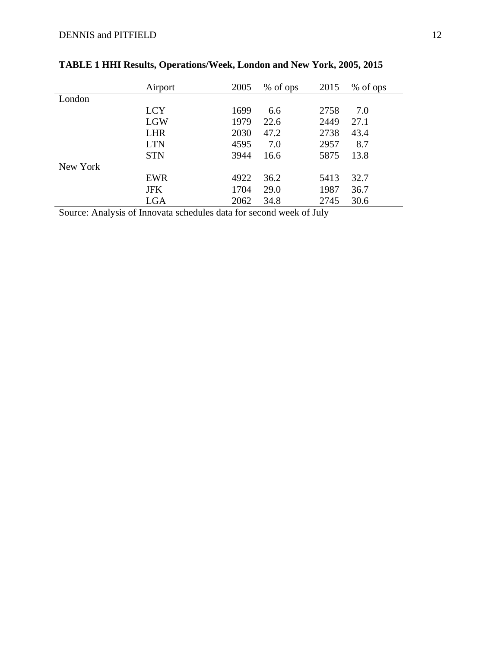|          | Airport    | 2005 | % of ops | 2015 | % of ops |
|----------|------------|------|----------|------|----------|
| London   |            |      |          |      |          |
|          | <b>LCY</b> | 1699 | 6.6      | 2758 | 7.0      |
|          | <b>LGW</b> | 1979 | 22.6     | 2449 | 27.1     |
|          | <b>LHR</b> | 2030 | 47.2     | 2738 | 43.4     |
|          | <b>LTN</b> | 4595 | 7.0      | 2957 | 8.7      |
|          | <b>STN</b> | 3944 | 16.6     | 5875 | 13.8     |
| New York |            |      |          |      |          |
|          | <b>EWR</b> | 4922 | 36.2     | 5413 | 32.7     |
|          | <b>JFK</b> | 1704 | 29.0     | 1987 | 36.7     |
|          | <b>LGA</b> | 2062 | 34.8     | 2745 | 30.6     |

| TABLE 1 HHI Results, Operations/Week, London and New York, 2005, 2015 |  |  |
|-----------------------------------------------------------------------|--|--|
|                                                                       |  |  |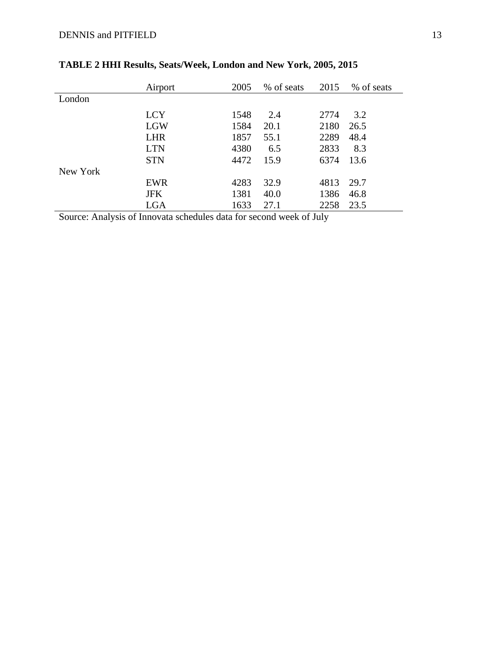|          | Airport    | 2005 | % of seats | 2015 | % of seats |
|----------|------------|------|------------|------|------------|
| London   |            |      |            |      |            |
|          | <b>LCY</b> | 1548 | 2.4        | 2774 | 3.2        |
|          | <b>LGW</b> | 1584 | 20.1       | 2180 | 26.5       |
|          | <b>LHR</b> | 1857 | 55.1       | 2289 | 48.4       |
|          | <b>LTN</b> | 4380 | 6.5        | 2833 | 8.3        |
|          | <b>STN</b> | 4472 | 15.9       | 6374 | 13.6       |
| New York |            |      |            |      |            |
|          | <b>EWR</b> | 4283 | 32.9       | 4813 | 29.7       |
|          | <b>JFK</b> | 1381 | 40.0       | 1386 | 46.8       |
|          | <b>LGA</b> | 1633 | 27.1       | 2258 | 23.5       |

# **TABLE 2 HHI Results, Seats/Week, London and New York, 2005, 2015**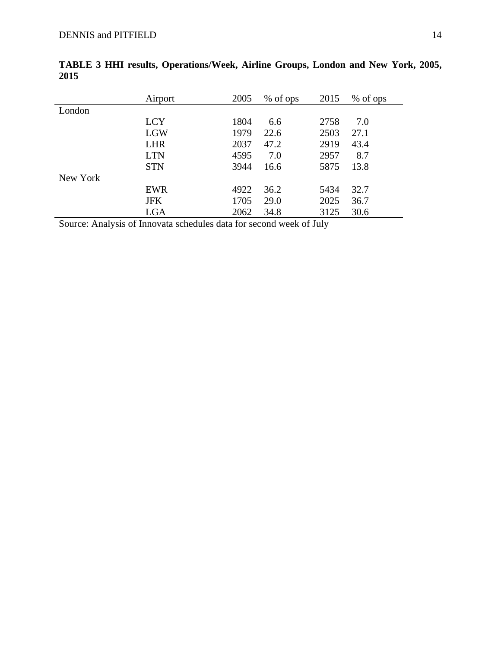|          | Airport    | 2005 | % of ops | 2015 | % of ops |
|----------|------------|------|----------|------|----------|
| London   |            |      |          |      |          |
|          | <b>LCY</b> | 1804 | 6.6      | 2758 | 7.0      |
|          | <b>LGW</b> | 1979 | 22.6     | 2503 | 27.1     |
|          | <b>LHR</b> | 2037 | 47.2     | 2919 | 43.4     |
|          | <b>LTN</b> | 4595 | 7.0      | 2957 | 8.7      |
|          | <b>STN</b> | 3944 | 16.6     | 5875 | 13.8     |
| New York |            |      |          |      |          |
|          | EWR        | 4922 | 36.2     | 5434 | 32.7     |
|          | <b>JFK</b> | 1705 | 29.0     | 2025 | 36.7     |
|          | LGA        | 2062 | 34.8     | 3125 | 30.6     |

|      |  | TABLE 3 HHI results, Operations/Week, Airline Groups, London and New York, 2005, |  |  |  |
|------|--|----------------------------------------------------------------------------------|--|--|--|
| 2015 |  |                                                                                  |  |  |  |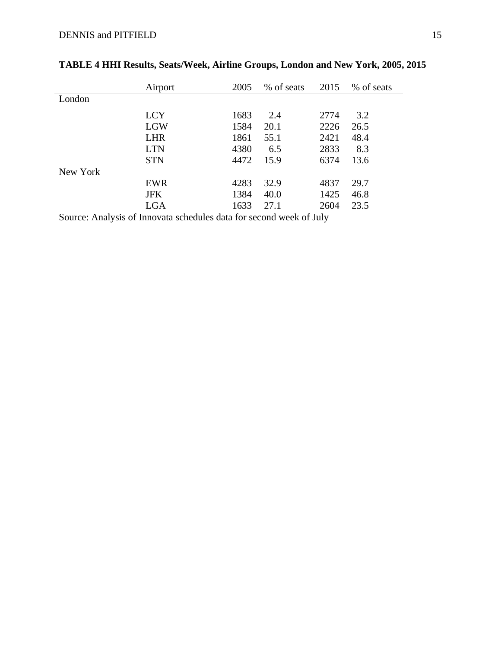|          | Airport    | 2005 | % of seats | 2015 | % of seats |
|----------|------------|------|------------|------|------------|
| London   |            |      |            |      |            |
|          | <b>LCY</b> | 1683 | 2.4        | 2774 | 3.2        |
|          | <b>LGW</b> | 1584 | 20.1       | 2226 | 26.5       |
|          | <b>LHR</b> | 1861 | 55.1       | 2421 | 48.4       |
|          | <b>LTN</b> | 4380 | 6.5        | 2833 | 8.3        |
|          | <b>STN</b> | 4472 | 15.9       | 6374 | 13.6       |
| New York |            |      |            |      |            |
|          | <b>EWR</b> | 4283 | 32.9       | 4837 | 29.7       |
|          | <b>JFK</b> | 1384 | 40.0       | 1425 | 46.8       |
|          | LGA        | 1633 | 27.1       | 2604 | 23.5       |

|  |  | TABLE 4 HHI Results, Seats/Week, Airline Groups, London and New York, 2005, 2015 |  |
|--|--|----------------------------------------------------------------------------------|--|
|  |  |                                                                                  |  |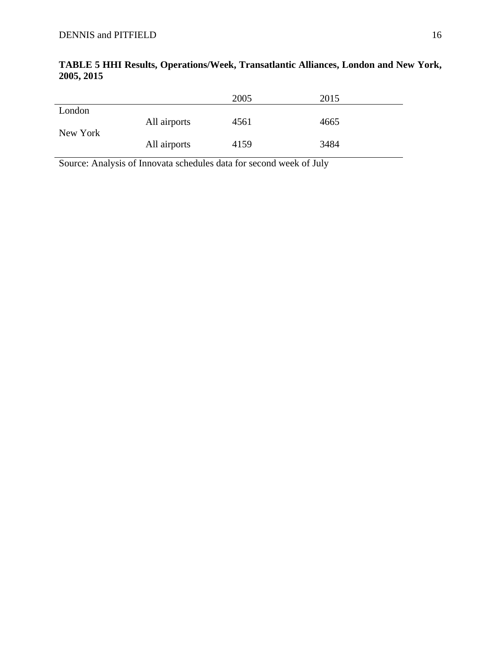# **TABLE 5 HHI Results, Operations/Week, Transatlantic Alliances, London and New York, 2005, 2015**

|          |              | 2005 | 2015 |
|----------|--------------|------|------|
| London   |              |      |      |
| New York | All airports | 4561 | 4665 |
|          | All airports | 4159 | 3484 |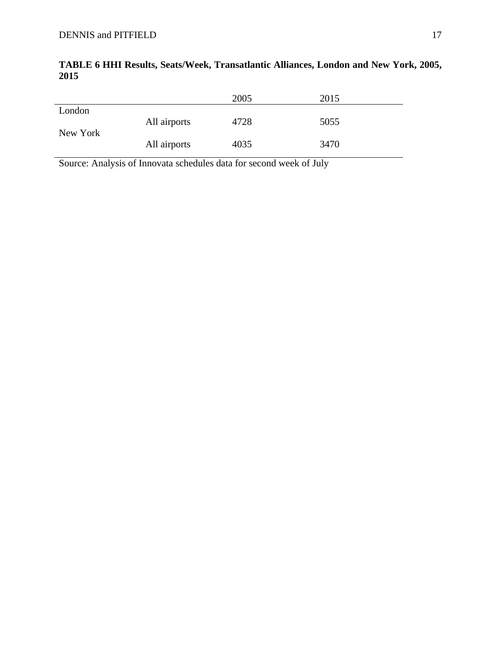# **TABLE 6 HHI Results, Seats/Week, Transatlantic Alliances, London and New York, 2005, 2015**

|          |              | 2005 | 2015 |
|----------|--------------|------|------|
| London   |              |      |      |
| New York | All airports | 4728 | 5055 |
|          | All airports | 4035 | 3470 |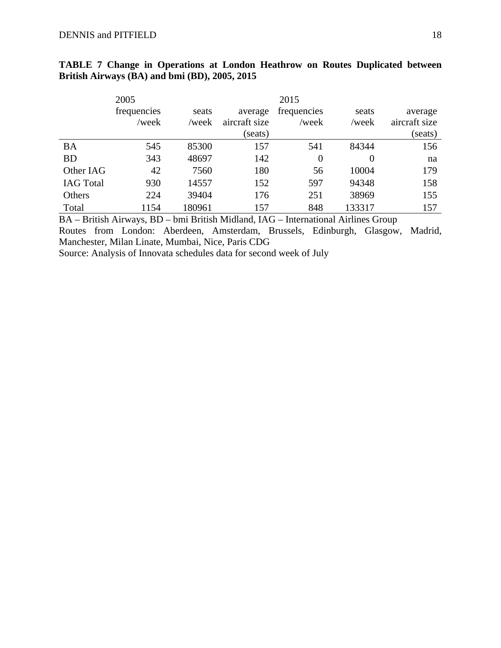|                  | 2005        |        |               | 2015           |                |               |
|------------------|-------------|--------|---------------|----------------|----------------|---------------|
|                  | frequencies | seats  | average       | frequencies    | seats          | average       |
|                  | /week       | /week  | aircraft size | /week          | /week          | aircraft size |
|                  |             |        | (seats)       |                |                | (seats)       |
| <b>BA</b>        | 545         | 85300  | 157           | 541            | 84344          | 156           |
| <b>BD</b>        | 343         | 48697  | 142           | $\overline{0}$ | $\overline{0}$ | na            |
| Other IAG        | 42          | 7560   | 180           | 56             | 10004          | 179           |
| <b>IAG</b> Total | 930         | 14557  | 152           | 597            | 94348          | 158           |
| Others           | 224         | 39404  | 176           | 251            | 38969          | 155           |
| Total            | 1154        | 180961 | 157           | 848            | 133317         | 157           |

# **TABLE 7 Change in Operations at London Heathrow on Routes Duplicated between British Airways (BA) and bmi (BD), 2005, 2015**

BA – British Airways, BD – bmi British Midland, IAG – International Airlines Group

Routes from London: Aberdeen, Amsterdam, Brussels, Edinburgh, Glasgow, Madrid, Manchester, Milan Linate, Mumbai, Nice, Paris CDG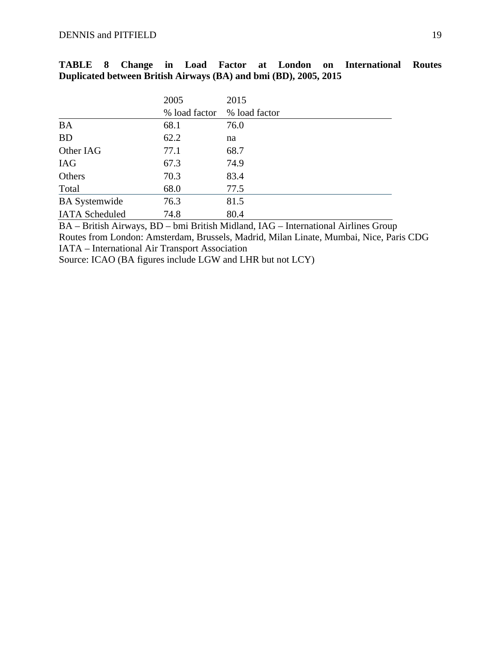|                       | 2005          | 2015          |
|-----------------------|---------------|---------------|
|                       | % load factor | % load factor |
| <b>BA</b>             | 68.1          | 76.0          |
| <b>BD</b>             | 62.2          | na            |
| Other IAG             | 77.1          | 68.7          |
| <b>IAG</b>            | 67.3          | 74.9          |
| Others                | 70.3          | 83.4          |
| Total                 | 68.0          | 77.5          |
| <b>BA</b> Systemwide  | 76.3          | 81.5          |
| <b>IATA Scheduled</b> | 74.8          | 80.4          |

|  |  |  |                                                                  | TABLE 8 Change in Load Factor at London on International Routes |  |
|--|--|--|------------------------------------------------------------------|-----------------------------------------------------------------|--|
|  |  |  | Duplicated between British Airways (BA) and bmi (BD), 2005, 2015 |                                                                 |  |

BA – British Airways, BD – bmi British Midland, IAG – International Airlines Group Routes from London: Amsterdam, Brussels, Madrid, Milan Linate, Mumbai, Nice, Paris CDG IATA – International Air Transport Association

Source: ICAO (BA figures include LGW and LHR but not LCY)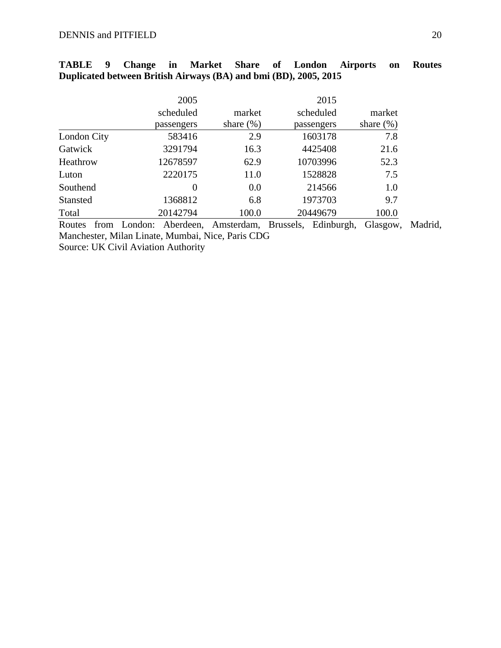|                 | 2005       |              |            |              |
|-----------------|------------|--------------|------------|--------------|
|                 | scheduled  | market       | scheduled  | market       |
|                 | passengers | share $(\%)$ | passengers | share $(\%)$ |
| London City     | 583416     | 2.9          | 1603178    | 7.8          |
| Gatwick         | 3291794    | 16.3         | 4425408    | 21.6         |
| Heathrow        | 12678597   | 62.9         | 10703996   | 52.3         |
| Luton           | 2220175    | 11.0         | 1528828    | 7.5          |
| Southend        | 0          | 0.0          | 214566     | 1.0          |
| <b>Stansted</b> | 1368812    | 6.8          | 1973703    | 9.7          |
| Total           | 20142794   | 100.0        | 20449679   | 100.0        |

# **TABLE 9 Change in Market Share of London Airports on Routes Duplicated between British Airways (BA) and bmi (BD), 2005, 2015**

Routes from London: Aberdeen, Amsterdam, Brussels, Edinburgh, Glasgow, Madrid, Manchester, Milan Linate, Mumbai, Nice, Paris CDG

Source: UK Civil Aviation Authority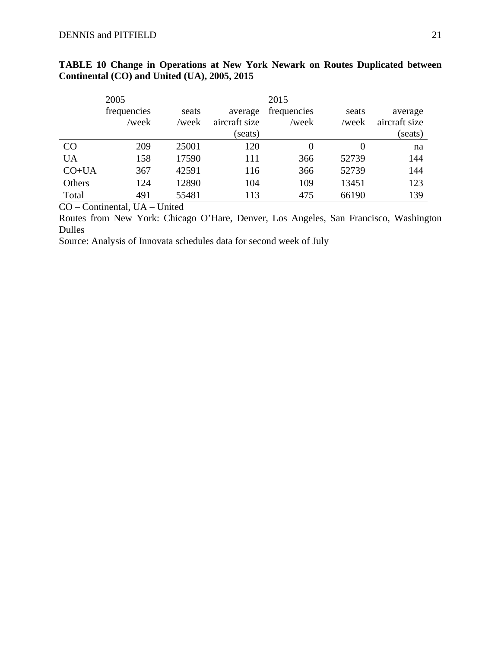|         | 2005        |       |               | 2015        |          |               |
|---------|-------------|-------|---------------|-------------|----------|---------------|
|         | frequencies | seats | average       | frequencies | seats    | average       |
|         | /week       | /week | aircraft size | /week       | /week    | aircraft size |
|         |             |       | (seats)       |             |          | (seats)       |
| CO      | 209         | 25001 | 120           | 0           | $\Omega$ | na            |
| UA      | 158         | 17590 | 111           | 366         | 52739    | 144           |
| $CO+UA$ | 367         | 42591 | 116           | 366         | 52739    | 144           |
| Others  | 124         | 12890 | 104           | 109         | 13451    | 123           |
| Total   | 491         | 55481 | 113           | 475         | 66190    | 139           |

# **TABLE 10 Change in Operations at New York Newark on Routes Duplicated between Continental (CO) and United (UA), 2005, 2015**

CO – Continental, UA – United

Routes from New York: Chicago O'Hare, Denver, Los Angeles, San Francisco, Washington Dulles